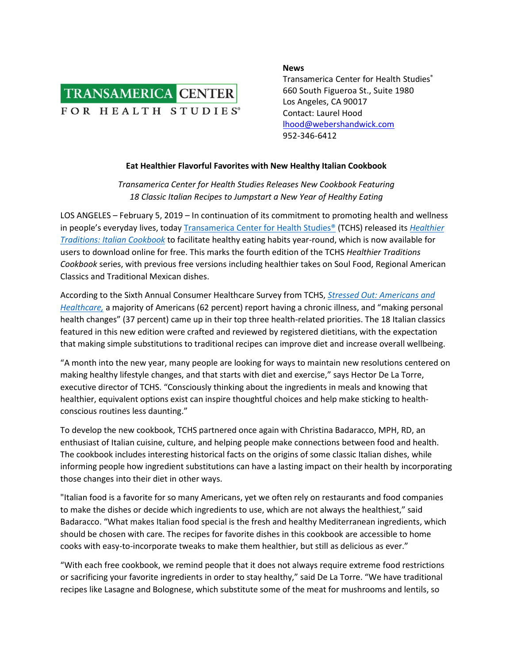

**News**

Transamerica Center for Health Studies ® 660 South Figueroa St., Suite 1980 Los Angeles, CA 90017 Contact: Laurel Hood [lhood@webershandwick.com](mailto:lhood@webershandwick.com) 952-346-6412

## **Eat Healthier Flavorful Favorites with New Healthy Italian Cookbook**

*Transamerica Center for Health Studies Releases New Cookbook Featuring 18 Classic Italian Recipes to Jumpstart a New Year of Healthy Eating*

LOS ANGELES – February 5, 2019 – In continuation of its commitment to promoting health and wellness in people's everyday lives, today [Transamerica Center for Health Studies®](http://www.transamericacenterforhealthstudies.org/) (TCHS) released its *[Healthier](https://www.transamericacenterforhealthstudies.org/health-wellness/healthier-traditions-cookbook)  [Traditions: Italian Cookbook](https://www.transamericacenterforhealthstudies.org/health-wellness/healthier-traditions-cookbook)* to facilitate healthy eating habits year-round, which is now available for users to download online for free. This marks the fourth edition of the TCHS *Healthier Traditions Cookbook* series, with previous free versions including healthier takes on Soul Food, Regional American Classics and Traditional Mexican dishes.

According to the Sixth Annual Consumer Healthcare Survey from TCHS, *[Stressed Out: Americans and](https://www.transamericacenterforhealthstudies.org/health-care-research/2018-consumer-survey)  [Healthcare,](https://www.transamericacenterforhealthstudies.org/health-care-research/2018-consumer-survey)* a majority of Americans (62 percent) report having a chronic illness, and "making personal health changes" (37 percent) came up in their top three health-related priorities. The 18 Italian classics featured in this new edition were crafted and reviewed by registered dietitians, with the expectation that making simple substitutions to traditional recipes can improve diet and increase overall wellbeing.

"A month into the new year, many people are looking for ways to maintain new resolutions centered on making healthy lifestyle changes, and that starts with diet and exercise," says Hector De La Torre, executive director of TCHS. "Consciously thinking about the ingredients in meals and knowing that healthier, equivalent options exist can inspire thoughtful choices and help make sticking to healthconscious routines less daunting."

To develop the new cookbook, TCHS partnered once again with Christina Badaracco, MPH, RD, an enthusiast of Italian cuisine, culture, and helping people make connections between food and health. The cookbook includes interesting historical facts on the origins of some classic Italian dishes, while informing people how ingredient substitutions can have a lasting impact on their health by incorporating those changes into their diet in other ways.

"Italian food is a favorite for so many Americans, yet we often rely on restaurants and food companies to make the dishes or decide which ingredients to use, which are not always the healthiest," said Badaracco. "What makes Italian food special is the fresh and healthy Mediterranean ingredients, which should be chosen with care. The recipes for favorite dishes in this cookbook are accessible to home cooks with easy-to-incorporate tweaks to make them healthier, but still as delicious as ever."

"With each free cookbook, we remind people that it does not always require extreme food restrictions or sacrificing your favorite ingredients in order to stay healthy," said De La Torre. "We have traditional recipes like Lasagne and Bolognese, which substitute some of the meat for mushrooms and lentils, so